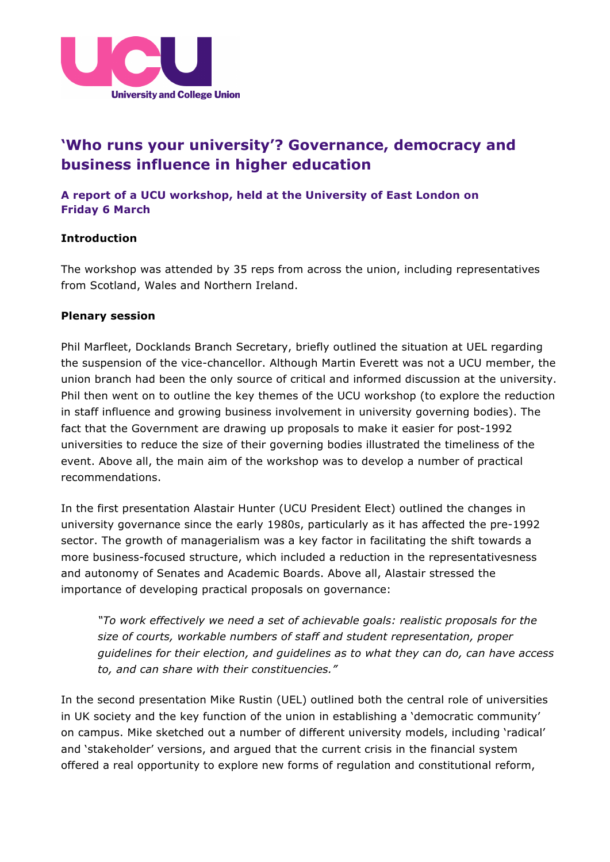

# **'Who runs your university'? Governance, democracy and business influence in higher education**

## **A report of a UCU workshop, held at the University of East London on Friday 6 March**

### **Introduction**

The workshop was attended by 35 reps from across the union, including representatives from Scotland, Wales and Northern Ireland.

#### **Plenary session**

Phil Marfleet, Docklands Branch Secretary, briefly outlined the situation at UEL regarding the suspension of the vice-chancellor. Although Martin Everett was not a UCU member, the union branch had been the only source of critical and informed discussion at the university. Phil then went on to outline the key themes of the UCU workshop (to explore the reduction in staff influence and growing business involvement in university governing bodies). The fact that the Government are drawing up proposals to make it easier for post-1992 universities to reduce the size of their governing bodies illustrated the timeliness of the event. Above all, the main aim of the workshop was to develop a number of practical recommendations.

In the first presentation Alastair Hunter (UCU President Elect) outlined the changes in university governance since the early 1980s, particularly as it has affected the pre-1992 sector. The growth of managerialism was a key factor in facilitating the shift towards a more business-focused structure, which included a reduction in the representativesness and autonomy of Senates and Academic Boards. Above all, Alastair stressed the importance of developing practical proposals on governance:

*"To work effectively we need a set of achievable goals: realistic proposals for the size of courts, workable numbers of staff and student representation, proper guidelines for their election, and guidelines as to what they can do, can have access to, and can share with their constituencies."*

In the second presentation Mike Rustin (UEL) outlined both the central role of universities in UK society and the key function of the union in establishing a 'democratic community' on campus. Mike sketched out a number of different university models, including 'radical' and 'stakeholder' versions, and argued that the current crisis in the financial system offered a real opportunity to explore new forms of regulation and constitutional reform,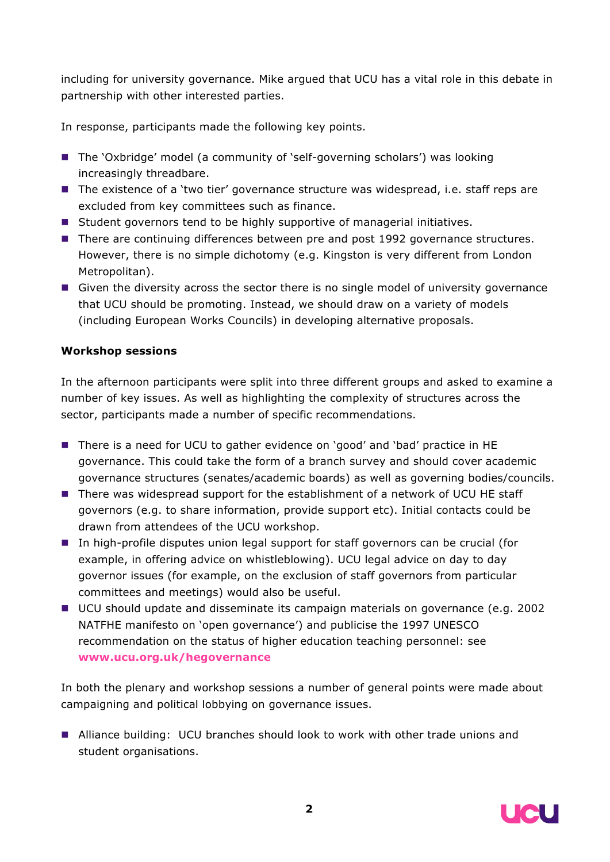including for university governance. Mike argued that UCU has a vital role in this debate in partnership with other interested parties.

In response, participants made the following key points.

- The 'Oxbridge' model (a community of 'self-governing scholars') was looking increasingly threadbare.
- The existence of a 'two tier' governance structure was widespread, i.e. staff reps are excluded from key committees such as finance.
- Student governors tend to be highly supportive of managerial initiatives.
- **There are continuing differences between pre and post 1992 governance structures.** However, there is no simple dichotomy (e.g. Kingston is very different from London Metropolitan).
- Given the diversity across the sector there is no single model of university governance that UCU should be promoting. Instead, we should draw on a variety of models (including European Works Councils) in developing alternative proposals.

## **Workshop sessions**

In the afternoon participants were split into three different groups and asked to examine a number of key issues. As well as highlighting the complexity of structures across the sector, participants made a number of specific recommendations.

- There is a need for UCU to gather evidence on 'good' and 'bad' practice in HE governance. This could take the form of a branch survey and should cover academic governance structures (senates/academic boards) as well as governing bodies/councils.
- There was widespread support for the establishment of a network of UCU HE staff governors (e.g. to share information, provide support etc). Initial contacts could be drawn from attendees of the UCU workshop.
- In high-profile disputes union legal support for staff governors can be crucial (for example, in offering advice on whistleblowing). UCU legal advice on day to day governor issues (for example, on the exclusion of staff governors from particular committees and meetings) would also be useful.
- UCU should update and disseminate its campaign materials on governance (e.g. 2002 NATFHE manifesto on 'open governance') and publicise the 1997 UNESCO recommendation on the status of higher education teaching personnel: see **www.ucu.org.uk/hegovernance**

In both the plenary and workshop sessions a number of general points were made about campaigning and political lobbying on governance issues.

■ Alliance building: UCU branches should look to work with other trade unions and student organisations.